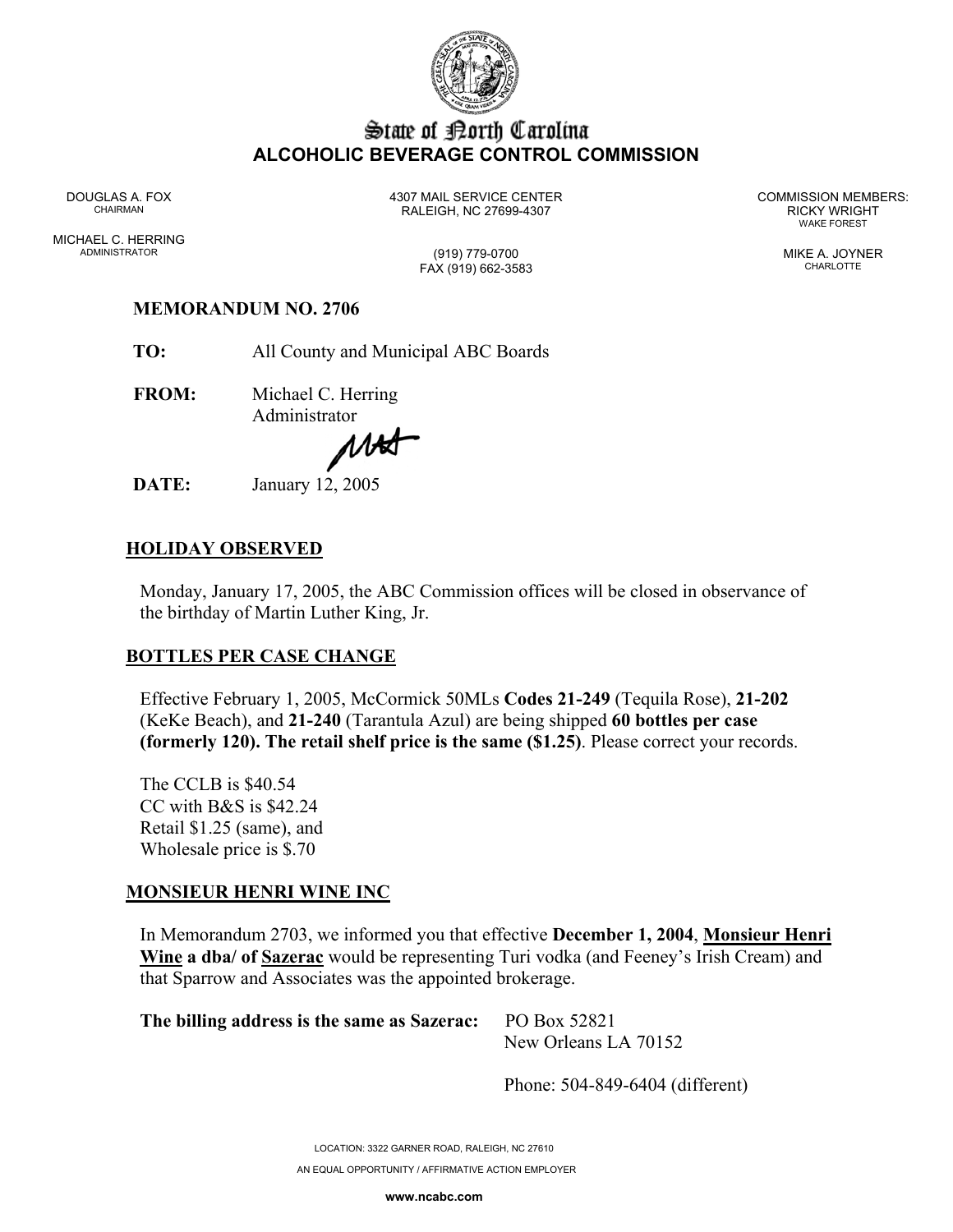

## State of Borth Carolina **ALCOHOLIC BEVERAGE CONTROL COMMISSION**

MICHAEL C. HERRING ADMINISTRATOR (919) 779-0700 MIKE A. JOYNER

DOUGLAS A. FOX 4307 MAIL SERVICE CENTER COMMISSION MEMBERS: CHAIRMAN RALEIGH, NC 27699-4307 RICKY WRIGHT

WAKE FOREST

# FAX (919) 662-3583 CHARLOTTE

#### **MEMORANDUM NO. 2706**

**TO:** All County and Municipal ABC Boards

**FROM:** Michael C. Herring Administrator

MAST

**DATE:** January 12, 2005

### **HOLIDAY OBSERVED**

Monday, January 17, 2005, the ABC Commission offices will be closed in observance of the birthday of Martin Luther King, Jr.

#### **BOTTLES PER CASE CHANGE**

Effective February 1, 2005, McCormick 50MLs **Codes 21-249** (Tequila Rose), **21-202** (KeKe Beach), and **21-240** (Tarantula Azul) are being shipped **60 bottles per case (formerly 120). The retail shelf price is the same (\$1.25)**. Please correct your records.

The CCLB is \$40.54 CC with B&S is \$42.24 Retail \$1.25 (same), and Wholesale price is \$.70

#### **MONSIEUR HENRI WINE INC**

In Memorandum 2703, we informed you that effective **December 1, 2004**, **Monsieur Henri Wine a dba/ of Sazerac** would be representing Turi vodka (and Feeney's Irish Cream) and that Sparrow and Associates was the appointed brokerage.

**The billing address is the same as Sazerac:** PO Box 52821

New Orleans LA 70152

Phone: 504-849-6404 (different)

LOCATION: 3322 GARNER ROAD, RALEIGH, NC 27610 AN EQUAL OPPORTUNITY / AFFIRMATIVE ACTION EMPLOYER